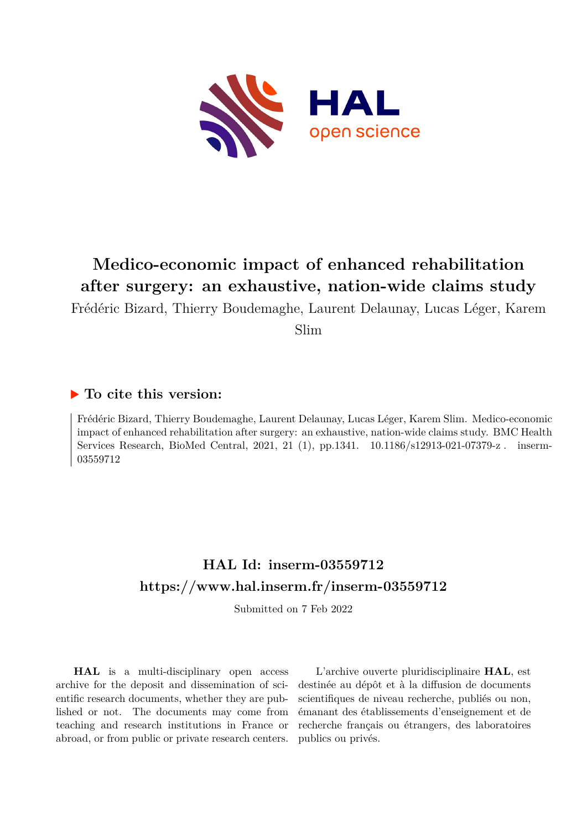

# **Medico-economic impact of enhanced rehabilitation after surgery: an exhaustive, nation-wide claims study**

Frédéric Bizard, Thierry Boudemaghe, Laurent Delaunay, Lucas Léger, Karem

Slim

# **To cite this version:**

Frédéric Bizard, Thierry Boudemaghe, Laurent Delaunay, Lucas Léger, Karem Slim. Medico-economic impact of enhanced rehabilitation after surgery: an exhaustive, nation-wide claims study. BMC Health Services Research, BioMed Central, 2021, 21 (1), pp.1341.  $10.1186/s12913-021-07379-z$ . inserm-03559712ff

# **HAL Id: inserm-03559712 <https://www.hal.inserm.fr/inserm-03559712>**

Submitted on 7 Feb 2022

**HAL** is a multi-disciplinary open access archive for the deposit and dissemination of scientific research documents, whether they are published or not. The documents may come from teaching and research institutions in France or abroad, or from public or private research centers.

L'archive ouverte pluridisciplinaire **HAL**, est destinée au dépôt et à la diffusion de documents scientifiques de niveau recherche, publiés ou non, émanant des établissements d'enseignement et de recherche français ou étrangers, des laboratoires publics ou privés.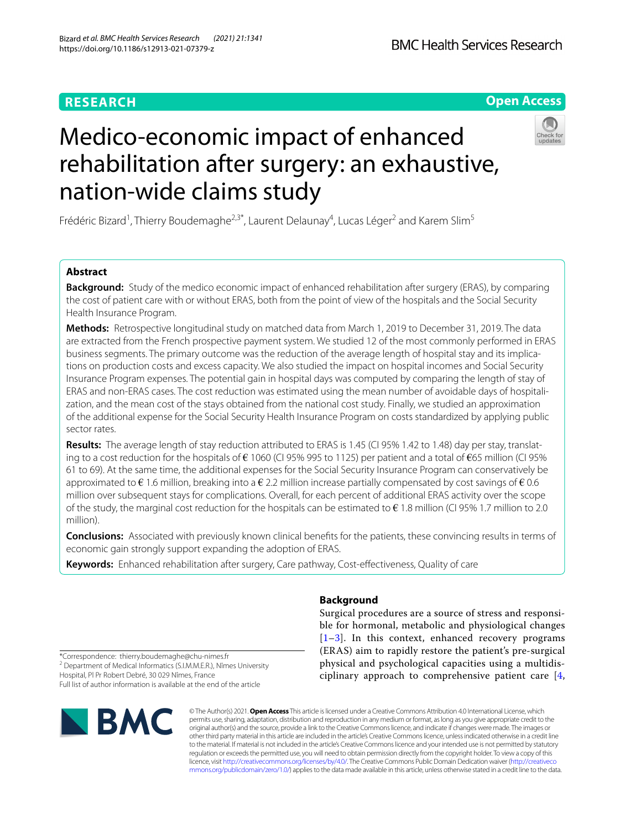# **RESEARCH**

# **BMC Health Services Research**

**Open Access**

# Medico-economic impact of enhanced rehabilitation after surgery: an exhaustive, nation-wide claims study



Frédéric Bizard<sup>1</sup>, Thierry Boudemaghe<sup>2,3\*</sup>, Laurent Delaunay<sup>4</sup>, Lucas Léger<sup>2</sup> and Karem Slim<sup>5</sup>

# **Abstract**

**Background:** Study of the medico economic impact of enhanced rehabilitation after surgery (ERAS), by comparing the cost of patient care with or without ERAS, both from the point of view of the hospitals and the Social Security Health Insurance Program.

**Methods:** Retrospective longitudinal study on matched data from March 1, 2019 to December 31, 2019. The data are extracted from the French prospective payment system. We studied 12 of the most commonly performed in ERAS business segments. The primary outcome was the reduction of the average length of hospital stay and its implications on production costs and excess capacity. We also studied the impact on hospital incomes and Social Security Insurance Program expenses. The potential gain in hospital days was computed by comparing the length of stay of ERAS and non-ERAS cases. The cost reduction was estimated using the mean number of avoidable days of hospitalization, and the mean cost of the stays obtained from the national cost study. Finally, we studied an approximation of the additional expense for the Social Security Health Insurance Program on costs standardized by applying public sector rates.

**Results:** The average length of stay reduction attributed to ERAS is 1.45 (CI 95% 1.42 to 1.48) day per stay, translating to a cost reduction for the hospitals of  $\epsilon$  1060 (CI 95% 995 to 1125) per patient and a total of  $\epsilon$ 65 million (CI 95% 61 to 69). At the same time, the additional expenses for the Social Security Insurance Program can conservatively be approximated to  $\epsilon$  1.6 million, breaking into a  $\epsilon$  2.2 million increase partially compensated by cost savings of  $\epsilon$  0.6 million over subsequent stays for complications. Overall, for each percent of additional ERAS activity over the scope of the study, the marginal cost reduction for the hospitals can be estimated to  $\epsilon$  1.8 million (CI 95% 1.7 million to 2.0 million).

**Conclusions:** Associated with previously known clinical benefts for the patients, these convincing results in terms of economic gain strongly support expanding the adoption of ERAS.

**Keywords:** Enhanced rehabilitation after surgery, Care pathway, Cost-efectiveness, Quality of care

**Background**

Surgical procedures are a source of stress and responsible for hormonal, metabolic and physiological changes  $[1-3]$ . In this context, enhanced recovery programs (ERAS) aim to rapidly restore the patient's pre-surgical physical and psychological capacities using a multidisciplinary approach to comprehensive patient care [4,

\*Correspondence: thierry.boudemaghe@chu-nimes.fr <sup>2</sup> Department of Medical Informatics (S.I.M.M.E.R.), Nîmes University Hospital, Pl Pr Robert Debré, 30 029 Nîmes, France Full list of author information is available at the end of the article



© The Author(s) 2021. **Open Access** This article is licensed under a Creative Commons Attribution 4.0 International License, which permits use, sharing, adaptation, distribution and reproduction in any medium or format, as long as you give appropriate credit to the original author(s) and the source, provide a link to the Creative Commons licence, and indicate if changes were made. The images or other third party material in this article are included in the article's Creative Commons licence, unless indicated otherwise in a credit line to the material. If material is not included in the article's Creative Commons licence and your intended use is not permitted by statutory regulation or exceeds the permitted use, you will need to obtain permission directly from the copyright holder. To view a copy of this licence, visit [http://creativecommons.org/licenses/by/4.0/.](http://creativecommons.org/licenses/by/4.0/) The Creative Commons Public Domain Dedication waiver ([http://creativeco](http://creativecommons.org/publicdomain/zero/1.0/) [mmons.org/publicdomain/zero/1.0/](http://creativecommons.org/publicdomain/zero/1.0/)) applies to the data made available in this article, unless otherwise stated in a credit line to the data.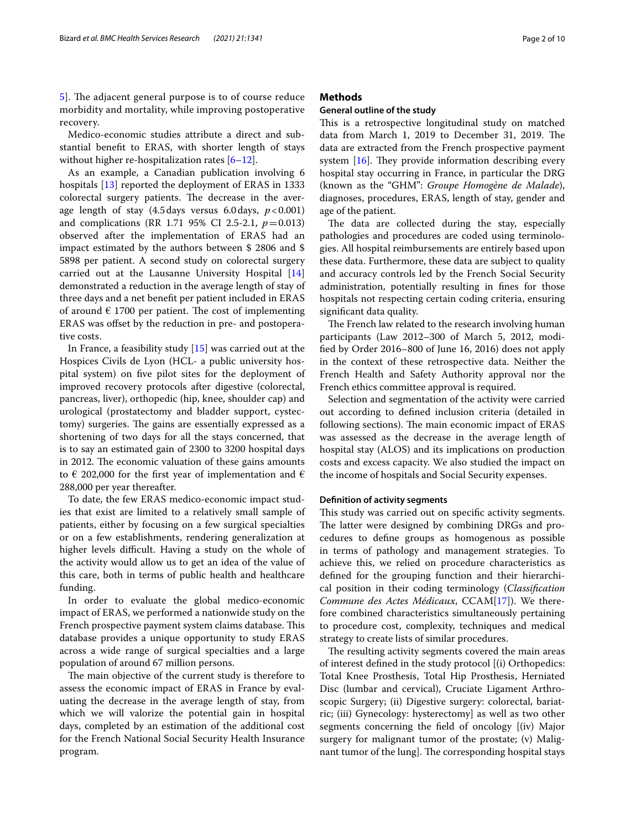Medico-economic studies attribute a direct and substantial beneft to ERAS, with shorter length of stays without higher re-hospitalization rates  $[6-12]$ .

As an example, a Canadian publication involving 6 hospitals [13] reported the deployment of ERAS in 1333 colorectal surgery patients. The decrease in the average length of stay  $(4.5 \text{ days}$  versus  $6.0 \text{ days}$ ,  $p < 0.001$ ) and complications (RR 1.71 95% CI 2.5-2.1, *p*=0.013) observed after the implementation of ERAS had an impact estimated by the authors between \$ 2806 and \$ 5898 per patient. A second study on colorectal surgery carried out at the Lausanne University Hospital [14] demonstrated a reduction in the average length of stay of three days and a net beneft per patient included in ERAS of around  $\epsilon$  1700 per patient. The cost of implementing ERAS was offset by the reduction in pre- and postoperative costs.

In France, a feasibility study [15] was carried out at the Hospices Civils de Lyon (HCL- a public university hospital system) on fve pilot sites for the deployment of improved recovery protocols after digestive (colorectal, pancreas, liver), orthopedic (hip, knee, shoulder cap) and urological (prostatectomy and bladder support, cystectomy) surgeries. The gains are essentially expressed as a shortening of two days for all the stays concerned, that is to say an estimated gain of 2300 to 3200 hospital days in 2012. The economic valuation of these gains amounts to  $\epsilon$  202,000 for the first year of implementation and  $\epsilon$ 288,000 per year thereafter.

To date, the few ERAS medico-economic impact studies that exist are limited to a relatively small sample of patients, either by focusing on a few surgical specialties or on a few establishments, rendering generalization at higher levels difficult. Having a study on the whole of the activity would allow us to get an idea of the value of this care, both in terms of public health and healthcare funding.

In order to evaluate the global medico-economic impact of ERAS, we performed a nationwide study on the French prospective payment system claims database. This database provides a unique opportunity to study ERAS across a wide range of surgical specialties and a large population of around 67 million persons.

The main objective of the current study is therefore to assess the economic impact of ERAS in France by evaluating the decrease in the average length of stay, from which we will valorize the potential gain in hospital days, completed by an estimation of the additional cost for the French National Social Security Health Insurance program.

# **Methods**

# **General outline of the study**

This is a retrospective longitudinal study on matched data from March 1, 2019 to December 31, 2019. The data are extracted from the French prospective payment system  $[16]$ . They provide information describing every hospital stay occurring in France, in particular the DRG (known as the "GHM": *Groupe Homogène de Malade*), diagnoses, procedures, ERAS, length of stay, gender and age of the patient.

The data are collected during the stay, especially pathologies and procedures are coded using terminologies. All hospital reimbursements are entirely based upon these data. Furthermore, these data are subject to quality and accuracy controls led by the French Social Security administration, potentially resulting in fnes for those hospitals not respecting certain coding criteria, ensuring signifcant data quality.

The French law related to the research involving human participants (Law 2012–300 of March 5, 2012, modifed by Order 2016–800 of June 16, 2016) does not apply in the context of these retrospective data. Neither the French Health and Safety Authority approval nor the French ethics committee approval is required.

Selection and segmentation of the activity were carried out according to defned inclusion criteria (detailed in following sections). The main economic impact of ERAS was assessed as the decrease in the average length of hospital stay (ALOS) and its implications on production costs and excess capacity. We also studied the impact on the income of hospitals and Social Security expenses.

# **Defnition of activity segments**

This study was carried out on specific activity segments. The latter were designed by combining DRGs and procedures to defne groups as homogenous as possible in terms of pathology and management strategies. To achieve this, we relied on procedure characteristics as defned for the grouping function and their hierarchical position in their coding terminology (*Classifcation Commune des Actes Médicaux*, CCAM[17]). We therefore combined characteristics simultaneously pertaining to procedure cost, complexity, techniques and medical strategy to create lists of similar procedures.

The resulting activity segments covered the main areas of interest defned in the study protocol [(i) Orthopedics: Total Knee Prosthesis, Total Hip Prosthesis, Herniated Disc (lumbar and cervical), Cruciate Ligament Arthroscopic Surgery; (ii) Digestive surgery: colorectal, bariatric; (iii) Gynecology: hysterectomy] as well as two other segments concerning the feld of oncology [(iv) Major surgery for malignant tumor of the prostate; (v) Malignant tumor of the lung]. The corresponding hospital stays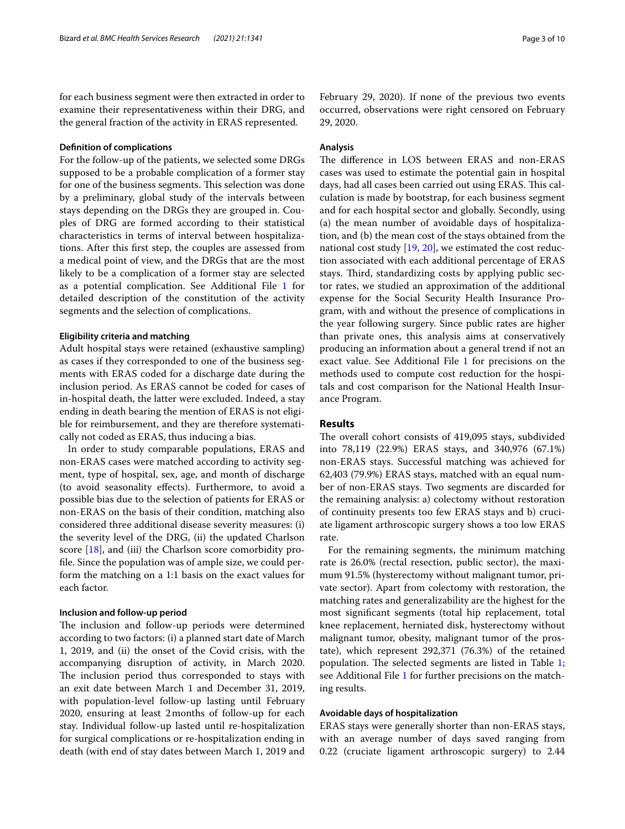for each business segment were then extracted in order to examine their representativeness within their DRG, and the general fraction of the activity in ERAS represented.

## **Defnition of complications**

For the follow-up of the patients, we selected some DRGs supposed to be a probable complication of a former stay for one of the business segments. This selection was done by a preliminary, global study of the intervals between stays depending on the DRGs they are grouped in. Couples of DRG are formed according to their statistical characteristics in terms of interval between hospitalizations. After this frst step, the couples are assessed from a medical point of view, and the DRGs that are the most likely to be a complication of a former stay are selected as a potential complication. See Additional File 1 for detailed description of the constitution of the activity segments and the selection of complications.

## **Eligibility criteria and matching**

Adult hospital stays were retained (exhaustive sampling) as cases if they corresponded to one of the business segments with ERAS coded for a discharge date during the inclusion period. As ERAS cannot be coded for cases of in-hospital death, the latter were excluded. Indeed, a stay ending in death bearing the mention of ERAS is not eligible for reimbursement, and they are therefore systematically not coded as ERAS, thus inducing a bias.

In order to study comparable populations, ERAS and non-ERAS cases were matched according to activity segment, type of hospital, sex, age, and month of discharge (to avoid seasonality efects). Furthermore, to avoid a possible bias due to the selection of patients for ERAS or non-ERAS on the basis of their condition, matching also considered three additional disease severity measures: (i) the severity level of the DRG, (ii) the updated Charlson score [18], and (iii) the Charlson score comorbidity profle. Since the population was of ample size, we could perform the matching on a 1:1 basis on the exact values for each factor.

#### **Inclusion and follow‑up period**

The inclusion and follow-up periods were determined according to two factors: (i) a planned start date of March 1, 2019, and (ii) the onset of the Covid crisis, with the accompanying disruption of activity, in March 2020. The inclusion period thus corresponded to stays with an exit date between March 1 and December 31, 2019, with population-level follow-up lasting until February 2020, ensuring at least 2months of follow-up for each stay. Individual follow-up lasted until re-hospitalization for surgical complications or re-hospitalization ending in death (with end of stay dates between March 1, 2019 and February 29, 2020). If none of the previous two events occurred, observations were right censored on February 29, 2020.

# **Analysis**

The difference in LOS between ERAS and non-ERAS cases was used to estimate the potential gain in hospital days, had all cases been carried out using ERAS. This calculation is made by bootstrap, for each business segment and for each hospital sector and globally. Secondly, using (a) the mean number of avoidable days of hospitalization, and (b) the mean cost of the stays obtained from the national cost study [19, 20], we estimated the cost reduction associated with each additional percentage of ERAS stays. Third, standardizing costs by applying public sector rates, we studied an approximation of the additional expense for the Social Security Health Insurance Program, with and without the presence of complications in the year following surgery. Since public rates are higher than private ones, this analysis aims at conservatively producing an information about a general trend if not an exact value. See Additional File 1 for precisions on the methods used to compute cost reduction for the hospitals and cost comparison for the National Health Insurance Program.

## **Results**

The overall cohort consists of 419,095 stays, subdivided into 78,119 (22.9%) ERAS stays, and 340,976 (67.1%) non-ERAS stays. Successful matching was achieved for 62,403 (79.9%) ERAS stays, matched with an equal number of non-ERAS stays. Two segments are discarded for the remaining analysis: a) colectomy without restoration of continuity presents too few ERAS stays and b) cruciate ligament arthroscopic surgery shows a too low ERAS rate.

For the remaining segments, the minimum matching rate is 26.0% (rectal resection, public sector), the maximum 91.5% (hysterectomy without malignant tumor, private sector). Apart from colectomy with restoration, the matching rates and generalizability are the highest for the most signifcant segments (total hip replacement, total knee replacement, herniated disk, hysterectomy without malignant tumor, obesity, malignant tumor of the prostate), which represent 292,371 (76.3%) of the retained population. The selected segments are listed in Table 1; see Additional File 1 for further precisions on the matching results.

# **Avoidable days of hospitalization**

ERAS stays were generally shorter than non-ERAS stays, with an average number of days saved ranging from 0.22 (cruciate ligament arthroscopic surgery) to 2.44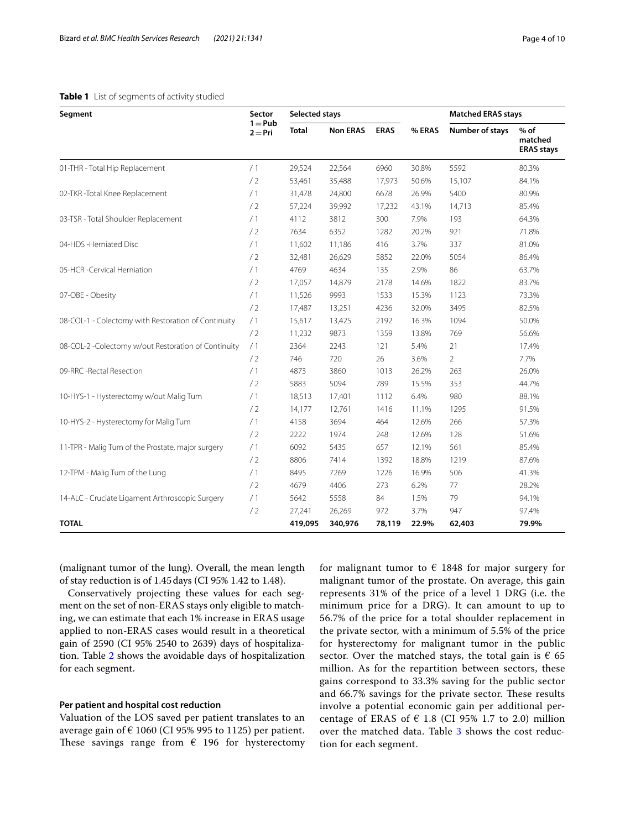| Segment                                             | Sector                 | <b>Selected stays</b>           |         |             |        | <b>Matched ERAS stays</b> |                                        |  |
|-----------------------------------------------------|------------------------|---------------------------------|---------|-------------|--------|---------------------------|----------------------------------------|--|
|                                                     | $1 = Pub$<br>$2 = Pri$ | <b>Total</b><br><b>Non ERAS</b> |         | <b>ERAS</b> | % ERAS | Number of stays           | $%$ of<br>matched<br><b>ERAS stays</b> |  |
| 01-THR - Total Hip Replacement                      | /1                     | 29,524                          | 22,564  | 6960        | 30.8%  | 5592                      | 80.3%                                  |  |
|                                                     | /2                     | 53,461                          | 35,488  | 17,973      | 50.6%  | 15,107                    | 84.1%                                  |  |
| 02-TKR-Total Knee Replacement                       | /1                     | 31,478                          | 24,800  | 6678        | 26.9%  | 5400                      | 80.9%                                  |  |
|                                                     | /2                     | 57,224                          | 39,992  | 17,232      | 43.1%  | 14,713                    | 85.4%                                  |  |
| 03-TSR - Total Shoulder Replacement                 | /1                     | 4112                            | 3812    | 300         | 7.9%   | 193                       | 64.3%                                  |  |
|                                                     | /2                     | 7634                            | 6352    | 1282        | 20.2%  | 921                       | 71.8%                                  |  |
| 04-HDS -Herniated Disc                              | /1                     | 11,602                          | 11,186  | 416         | 3.7%   | 337                       | 81.0%                                  |  |
|                                                     | /2                     | 32,481                          | 26,629  | 5852        | 22.0%  | 5054                      | 86.4%                                  |  |
| 05-HCR -Cervical Herniation                         | /1                     | 4769                            | 4634    | 135         | 2.9%   | 86                        | 63.7%                                  |  |
|                                                     | /2                     | 17,057                          | 14,879  | 2178        | 14.6%  | 1822                      | 83.7%                                  |  |
| 07-OBE - Obesity                                    | /1                     | 11,526                          | 9993    | 1533        | 15.3%  | 1123                      | 73.3%                                  |  |
|                                                     | /2                     | 17,487                          | 13,251  | 4236        | 32.0%  | 3495                      | 82.5%                                  |  |
| 08-COL-1 - Colectomy with Restoration of Continuity | /1                     | 15,617                          | 13,425  | 2192        | 16.3%  | 1094                      | 50.0%                                  |  |
|                                                     | /2                     | 11,232                          | 9873    | 1359        | 13.8%  | 769                       | 56.6%                                  |  |
| 08-COL-2 -Colectomy w/out Restoration of Continuity | /1                     | 2364                            | 2243    | 121         | 5.4%   | 21                        | 17.4%                                  |  |
|                                                     | /2                     | 746                             | 720     | 26          | 3.6%   | $\overline{2}$            | 7.7%                                   |  |
| 09-RRC -Rectal Resection                            | /1                     | 4873                            | 3860    | 1013        | 26.2%  | 263                       | 26.0%                                  |  |
|                                                     | /2                     | 5883                            | 5094    | 789         | 15.5%  | 353                       | 44.7%                                  |  |
| 10-HYS-1 - Hysterectomy w/out Malig Tum             | /1                     | 18,513                          | 17,401  | 1112        | 6.4%   | 980                       | 88.1%                                  |  |
|                                                     | /2                     | 14,177                          | 12,761  | 1416        | 11.1%  | 1295                      | 91.5%                                  |  |
| 10-HYS-2 - Hysterectomy for Malig Tum               | /1                     | 4158                            | 3694    | 464         | 12.6%  | 266                       | 57.3%                                  |  |
|                                                     | /2                     | 2222                            | 1974    | 248         | 12.6%  | 128                       | 51.6%                                  |  |
| 11-TPR - Malig Tum of the Prostate, major surgery   | /1                     | 6092                            | 5435    | 657         | 12.1%  | 561                       | 85.4%                                  |  |
|                                                     | /2                     | 8806                            | 7414    | 1392        | 18.8%  | 1219                      | 87.6%                                  |  |
| 12-TPM - Malig Tum of the Lung                      | /1                     | 8495                            | 7269    | 1226        | 16.9%  | 506                       | 41.3%                                  |  |
|                                                     | /2                     | 4679                            | 4406    | 273         | 6.2%   | 77                        | 28.2%                                  |  |
| 14-ALC - Cruciate Ligament Arthroscopic Surgery     | /1                     | 5642                            | 5558    | 84          | 1.5%   | 79                        | 94.1%                                  |  |
|                                                     | /2                     | 27,241                          | 26,269  | 972         | 3.7%   | 947                       | 97.4%                                  |  |
| <b>TOTAL</b>                                        |                        | 419,095                         | 340,976 | 78,119      | 22.9%  | 62,403                    | 79.9%                                  |  |

# **Table 1** List of segments of activity studied

(malignant tumor of the lung). Overall, the mean length of stay reduction is of 1.45days (CI 95% 1.42 to 1.48).

Conservatively projecting these values for each segment on the set of non-ERAS stays only eligible to matching, we can estimate that each 1% increase in ERAS usage applied to non-ERAS cases would result in a theoretical gain of 2590 (CI 95% 2540 to 2639) days of hospitalization. Table 2 shows the avoidable days of hospitalization for each segment.

## **Per patient and hospital cost reduction**

Valuation of the LOS saved per patient translates to an average gain of  $\epsilon$  1060 (CI 95% 995 to 1125) per patient. These savings range from  $\epsilon$  196 for hysterectomy for malignant tumor to  $\epsilon$  1848 for major surgery for malignant tumor of the prostate. On average, this gain represents 31% of the price of a level 1 DRG (i.e. the minimum price for a DRG). It can amount to up to 56.7% of the price for a total shoulder replacement in the private sector, with a minimum of 5.5% of the price for hysterectomy for malignant tumor in the public sector. Over the matched stays, the total gain is  $\epsilon$  65 million. As for the repartition between sectors, these gains correspond to 33.3% saving for the public sector and 66.7% savings for the private sector. These results involve a potential economic gain per additional percentage of ERAS of  $\epsilon$  1.8 (CI 95% 1.7 to 2.0) million over the matched data. Table 3 shows the cost reduction for each segment.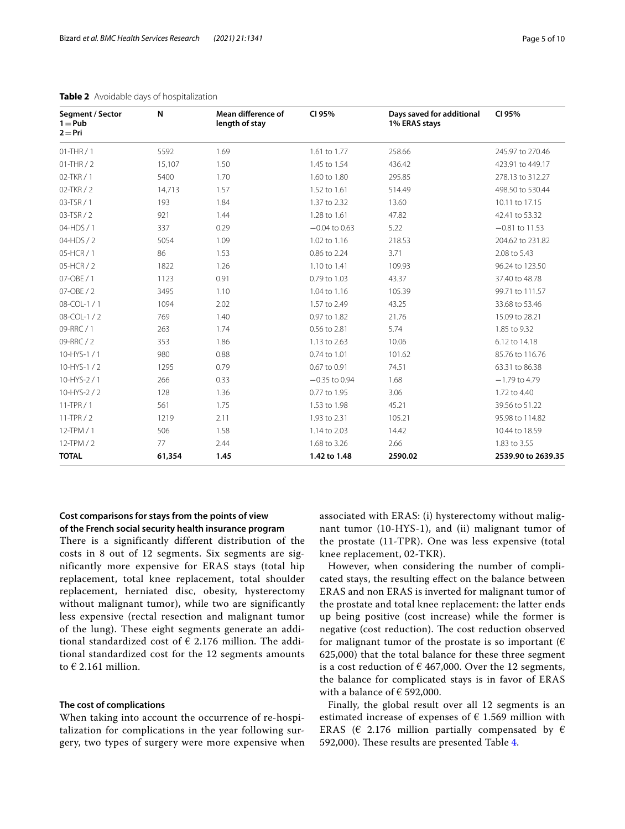| Segment / Sector<br>$1 = Pub$<br>$2 = Pri$ | N      | Mean difference of<br>length of stay | CI 95%          | Days saved for additional<br>1% ERAS stays | CI 95%             |  |
|--------------------------------------------|--------|--------------------------------------|-----------------|--------------------------------------------|--------------------|--|
| $01-THR/1$                                 | 5592   | 1.69                                 | 1.61 to 1.77    | 258.66                                     | 245.97 to 270.46   |  |
| $01-THR/2$                                 | 15,107 | 1.50                                 | 1.45 to 1.54    | 436.42                                     | 423.91 to 449.17   |  |
| 02-TKR / 1                                 | 5400   | 1.70                                 | 1.60 to 1.80    | 295.85                                     | 278.13 to 312.27   |  |
| 02-TKR / 2                                 | 14,713 | 1.57                                 | 1.52 to 1.61    | 514.49                                     | 498.50 to 530.44   |  |
| 03-TSR / 1                                 | 193    | 1.84                                 | 1.37 to 2.32    | 13.60                                      | 10.11 to 17.15     |  |
| 03-TSR / 2                                 | 921    | 1.44                                 | 1.28 to 1.61    | 47.82                                      | 42.41 to 53.32     |  |
| 04-HDS / 1                                 | 337    | 0.29                                 | $-0.04$ to 0.63 | 5.22                                       | $-0.81$ to 11.53   |  |
| 04-HDS / 2                                 | 5054   | 1.09                                 | 1.02 to 1.16    | 218.53                                     | 204.62 to 231.82   |  |
| 05-HCR / 1                                 | 86     | 1.53                                 | 0.86 to 2.24    | 3.71                                       | 2.08 to 5.43       |  |
| 05-HCR / 2                                 | 1822   | 1.26                                 | 1.10 to 1.41    | 109.93                                     | 96.24 to 123.50    |  |
| 07-OBE / 1                                 | 1123   | 0.91                                 | 0.79 to 1.03    | 43.37                                      | 37,40 to 48.78     |  |
| 07-OBE / 2                                 | 3495   | 1.10                                 | 1.04 to 1.16    | 105.39                                     | 99.71 to 111.57    |  |
| 08-COL-1 / 1                               | 1094   | 2.02                                 | 1.57 to 2.49    | 43.25                                      | 33.68 to 53.46     |  |
| 08-COL-1 / 2                               | 769    | 1.40                                 | 0.97 to 1.82    | 21.76                                      | 15.09 to 28.21     |  |
| 09-RRC / 1                                 | 263    | 1.74                                 | 0.56 to 2.81    | 5.74                                       | 1.85 to 9.32       |  |
| 09-RRC / 2                                 | 353    | 1.86                                 | 1.13 to 2.63    | 10.06                                      | 6.12 to 14.18      |  |
| 10-HYS-1 / 1                               | 980    | 0.88                                 | 0.74 to 1.01    | 101.62                                     | 85.76 to 116.76    |  |
| $10-HYS-1/2$                               | 1295   | 0.79                                 | 0.67 to 0.91    | 74.51                                      | 63.31 to 86.38     |  |
| 10-HYS-2/1                                 | 266    | 0.33                                 | $-0.35$ to 0.94 | 1.68                                       | $-1.79$ to 4.79    |  |
| 10-HYS-2/2                                 | 128    | 1.36                                 | 0.77 to 1.95    | 3.06                                       | 1.72 to 4.40       |  |
| $11$ -TPR $/1$                             | 561    | 1.75                                 | 1.53 to 1.98    | 45.21                                      | 39.56 to 51.22     |  |
| $11$ -TPR $/2$                             | 1219   | 2.11                                 | 1.93 to 2.31    | 105.21                                     | 95.98 to 114.82    |  |
| 12-TPM / 1                                 | 506    | 1.58                                 | 1.14 to 2.03    | 14.42                                      | 10.44 to 18.59     |  |
| $12$ -TPM / 2                              | 77     | 2.44                                 | 1.68 to 3.26    | 2.66                                       | 1.83 to 3.55       |  |
| <b>TOTAL</b>                               | 61,354 | 1.45                                 | 1.42 to 1.48    | 2590.02                                    | 2539.90 to 2639.35 |  |

| Table 2 Avoidable days of hospitalization |  |
|-------------------------------------------|--|
|-------------------------------------------|--|

# **Cost comparisons for stays from the points of view of the French social security health insurance program**

There is a significantly different distribution of the costs in 8 out of 12 segments. Six segments are significantly more expensive for ERAS stays (total hip replacement, total knee replacement, total shoulder replacement, herniated disc, obesity, hysterectomy without malignant tumor), while two are significantly less expensive (rectal resection and malignant tumor of the lung). These eight segments generate an additional standardized cost of  $\epsilon$  2.176 million. The additional standardized cost for the 12 segments amounts to  $\epsilon$  2.161 million.

# **The cost of complications**

When taking into account the occurrence of re-hospitalization for complications in the year following surgery, two types of surgery were more expensive when associated with ERAS: (i) hysterectomy without malignant tumor (10-HYS-1), and (ii) malignant tumor of the prostate (11-TPR). One was less expensive (total knee replacement, 02-TKR).

However, when considering the number of complicated stays, the resulting efect on the balance between ERAS and non ERAS is inverted for malignant tumor of the prostate and total knee replacement: the latter ends up being positive (cost increase) while the former is negative (cost reduction). The cost reduction observed for malignant tumor of the prostate is so important ( $\epsilon$ 625,000) that the total balance for these three segment is a cost reduction of  $\epsilon$  467,000. Over the 12 segments, the balance for complicated stays is in favor of ERAS with a balance of  $\epsilon$  592,000.

Finally, the global result over all 12 segments is an estimated increase of expenses of  $\epsilon$  1.569 million with ERAS ( $\epsilon$  2.176 million partially compensated by  $\epsilon$ 592,000). These results are presented Table 4.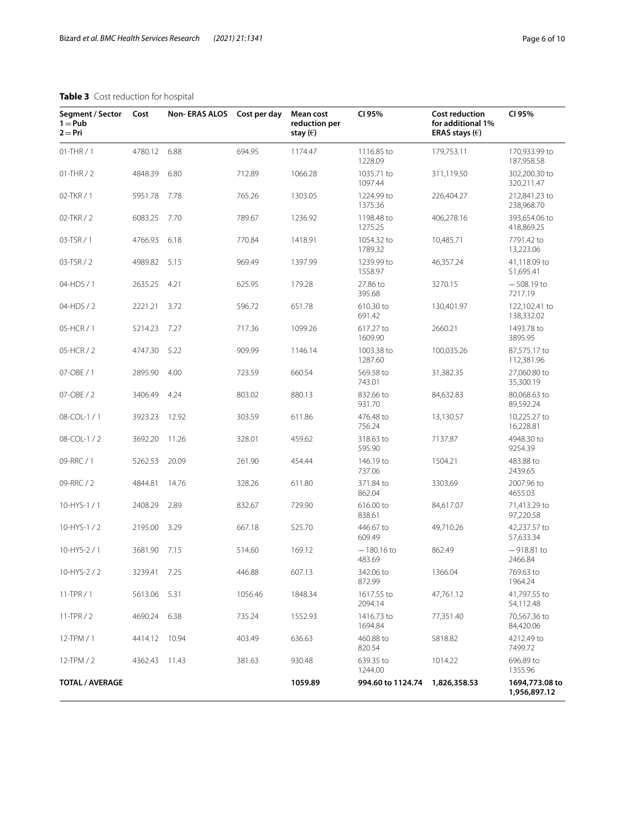# **Table 3** Cost reduction for hospital

| Segment / Sector<br>$1 = Pub$<br>$2 = Pri$ | Cost          | Non-ERAS ALOS Cost per day |         | Mean cost<br>reduction per<br>stay $(\in)$ | CI 95%                 | <b>Cost reduction</b><br>for additional 1%<br>ERAS stays $(\epsilon)$ | CI 95%                         |
|--------------------------------------------|---------------|----------------------------|---------|--------------------------------------------|------------------------|-----------------------------------------------------------------------|--------------------------------|
| $01-THR/1$                                 | 4780.12       | 6.88                       | 694.95  | 1174.47                                    | 1116.85 to<br>1228.09  | 179,753.11                                                            | 170,933.99 to<br>187,958.58    |
| 01-THR / 2                                 | 4848.39       | 6.80                       | 712.89  | 1066.28                                    | 1035.71 to<br>1097.44  | 311,119.50                                                            | 302,200.30 to<br>320,211.47    |
| 02-TKR / 1                                 | 5951.78       | 7.78                       | 765.26  | 1303.05                                    | 1224.99 to<br>1375.36  | 226,404.27                                                            | 212,841.23 to<br>238,968.70    |
| 02-TKR / 2                                 | 6083.25       | 7.70                       | 789.67  | 1236.92                                    | 1198.48 to<br>1275.25  | 406,278.16                                                            | 393,654.06 to<br>418,869.25    |
| 03-TSR / 1                                 | 4766.93       | 6.18                       | 770.84  | 1418.91                                    | 1054.32 to<br>1789.32  | 10,485.71                                                             | 7791.42 to<br>13,223.06        |
| 03-TSR / 2                                 | 4989.82       | 5.15                       | 969.49  | 1397.99                                    | 1239.99 to<br>1558.97  | 46,357.24                                                             | 41,118.09 to<br>51,695.41      |
| 04-HDS / 1                                 | 2635.25       | 4.21                       | 625.95  | 179.28                                     | 27.86 to<br>395.68     | 3270.15                                                               | $-508.19$ to<br>7217.19        |
| 04-HDS / 2                                 | 2221.21       | 3.72                       | 596.72  | 651.78                                     | 610.30 to<br>691.42    | 130,401.97                                                            | 122,102.41 to<br>138,332.02    |
| 05-HCR / 1                                 | 5214.23       | 7.27                       | 717.36  | 1099.26                                    | 617.27 to<br>1609.90   | 2660.21                                                               | 1493.78 to<br>3895.95          |
| 05-HCR / 2                                 | 4747.30       | 5.22                       | 909.99  | 1146.14                                    | 1003.38 to<br>1287.60  | 100,035.26                                                            | 87,575.17 to<br>112,381.96     |
| 07-OBE / 1                                 | 2895.90       | 4.00                       | 723.59  | 660.54                                     | 569.58 to<br>743.01    | 31,382.35                                                             | 27,060.80 to<br>35,300.19      |
| 07-OBE / 2                                 | 3406.49       | 4.24                       | 803.02  | 880.13                                     | 832.66 to<br>931.70    | 84,632.83                                                             | 80,068.63 to<br>89,592.24      |
| 08-COL-1 / 1                               | 3923.23       | 12.92                      | 303.59  | 611.86                                     | 476.48 to<br>756.24    | 13,130.57                                                             | 10,225.27 to<br>16,228.81      |
| 08-COL-1 / 2                               | 3692.20       | 11.26                      | 328.01  | 459.62                                     | 318.63 to<br>595.90    | 7137.87                                                               | 4948.30 to<br>9254.39          |
| 09-RRC / 1                                 | 5262.53       | 20.09                      | 261.90  | 454.44                                     | 146.19 to<br>737.06    | 1504.21                                                               | 483.88 to<br>2439.65           |
| 09-RRC/2                                   | 4844.81       | 14.76                      | 328.26  | 611.80                                     | 371.84 to<br>862.04    | 3303.69                                                               | 2007.96 to<br>4655.03          |
| 10-HYS-1/1                                 | 2408.29       | 2.89                       | 832.67  | 729.90                                     | 616.00 to<br>838.61    | 84,617.07                                                             | 71,413.29 to<br>97,220.58      |
| 10-HYS-1/2                                 | 2195.00       | 3.29                       | 667.18  | 525.70                                     | 446.67 to<br>609.49    | 49,710.26                                                             | 42,237.57 to<br>57,633.34      |
| 10-HYS-2 / 1                               | 3681.90       | 7.15                       | 514.60  | 169.12                                     | $-180.16$ to<br>483.69 | 862.49                                                                | $-918.81$ to<br>2466.84        |
| 10-HYS-2 / 2                               | 3239.41 7.25  |                            | 446.88  | 607.13                                     | 342.06 to<br>872.99    | 1366.04                                                               | 769.63 to<br>1964.24           |
| $11$ -TPR $/1$                             | 5613.06       | 5.31                       | 1056.46 | 1848.34                                    | 1617.55 to<br>2094.14  | 47,761.12                                                             | 41,797.55 to<br>54,112.48      |
| $11$ -TPR $/2$                             | 4690.24       | 6.38                       | 735.24  | 1552.93                                    | 1416.73 to<br>1694.84  | 77,351.40                                                             | 70,567.36 to<br>84,420.06      |
| $12$ -TPM / 1                              | 4414.12       | 10.94                      | 403.49  | 636.63                                     | 460.88 to<br>820.54    | 5818.82                                                               | 4212.49 to<br>7499.72          |
| $12$ -TPM / 2                              | 4362.43 11.43 |                            | 381.63  | 930.48                                     | 639.35 to<br>1244.00   | 1014.22                                                               | 696.89 to<br>1355.96           |
| <b>TOTAL / AVERAGE</b>                     |               |                            |         | 1059.89                                    | 994.60 to 1124.74      | 1,826,358.53                                                          | 1694,773.08 to<br>1,956,897.12 |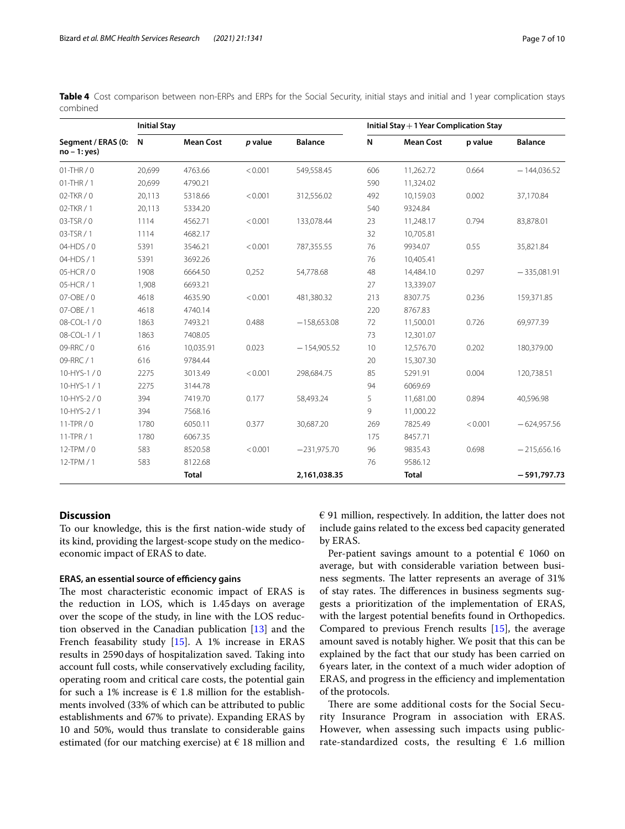|          |  |  |  |  |  |  |  | Table 4 Cost comparison between non-ERPs and ERPs for the Social Security, initial stays and initial and 1 year complication stays |  |
|----------|--|--|--|--|--|--|--|------------------------------------------------------------------------------------------------------------------------------------|--|
| combined |  |  |  |  |  |  |  |                                                                                                                                    |  |

|                                      | <b>Initial Stay</b> |                  |         |                | Initial Stay $+1$ Year Complication Stay |                  |         |                |  |  |
|--------------------------------------|---------------------|------------------|---------|----------------|------------------------------------------|------------------|---------|----------------|--|--|
| Segment / ERAS (0:<br>$no - 1: yes)$ | N                   | <b>Mean Cost</b> | p value | <b>Balance</b> | N                                        | <b>Mean Cost</b> | p value | <b>Balance</b> |  |  |
| $01-THR/0$                           | 20.699              | 4763.66          | < 0.001 | 549,558.45     | 606                                      | 11,262.72        | 0.664   | $-144,036.52$  |  |  |
| $01-THR/1$                           | 20,699              | 4790.21          |         |                | 590                                      | 11,324.02        |         |                |  |  |
| 02-TKR / 0                           | 20,113              | 5318.66          | < 0.001 | 312,556.02     | 492                                      | 10,159.03        | 0.002   | 37,170.84      |  |  |
| 02-TKR / 1                           | 20,113              | 5334.20          |         |                | 540                                      | 9324.84          |         |                |  |  |
| 03-TSR / 0                           | 1114                | 4562.71          | < 0.001 | 133,078.44     | 23                                       | 11,248.17        | 0.794   | 83,878.01      |  |  |
| 03-TSR / 1                           | 1114                | 4682.17          |         |                | 32                                       | 10,705.81        |         |                |  |  |
| $04-HDS/0$                           | 5391                | 3546.21          | < 0.001 | 787,355.55     | 76                                       | 9934.07          | 0.55    | 35,821.84      |  |  |
| 04-HDS / 1                           | 5391                | 3692.26          |         |                | 76                                       | 10,405.41        |         |                |  |  |
| 05-HCR / 0                           | 1908                | 6664.50          | 0,252   | 54,778.68      | 48                                       | 14,484.10        | 0.297   | $-335,081.91$  |  |  |
| 05-HCR / 1                           | 1,908               | 6693.21          |         |                | 27                                       | 13,339.07        |         |                |  |  |
| 07-OBE / 0                           | 4618                | 4635.90          | < 0.001 | 481,380.32     | 213                                      | 8307.75          | 0.236   | 159,371.85     |  |  |
| 07-OBE / 1                           | 4618                | 4740.14          |         |                | 220                                      | 8767.83          |         |                |  |  |
| 08-COL-1 / 0                         | 1863                | 7493.21          | 0.488   | $-158,653.08$  | 72                                       | 11,500.01        | 0.726   | 69,977.39      |  |  |
| 08-COL-1 / 1                         | 1863                | 7408.05          |         |                | 73                                       | 12,301.07        |         |                |  |  |
| 09-RRC / 0                           | 616                 | 10,035.91        | 0.023   | $-154,905.52$  | 10                                       | 12,576.70        | 0.202   | 180,379.00     |  |  |
| 09-RRC / 1                           | 616                 | 9784.44          |         |                | 20                                       | 15,307.30        |         |                |  |  |
| 10-HYS-1 $/ 0$                       | 2275                | 3013.49          | < 0.001 | 298,684.75     | 85                                       | 5291.91          | 0.004   | 120,738.51     |  |  |
| 10-HYS-1 / 1                         | 2275                | 3144.78          |         |                | 94                                       | 6069.69          |         |                |  |  |
| 10-HYS-2 / 0                         | 394                 | 7419.70          | 0.177   | 58,493.24      | 5                                        | 11,681.00        | 0.894   | 40.596.98      |  |  |
| 10-HYS-2/1                           | 394                 | 7568.16          |         |                | 9                                        | 11,000.22        |         |                |  |  |
| $11-TPR/0$                           | 1780                | 6050.11          | 0.377   | 30,687.20      | 269                                      | 7825.49          | < 0.001 | $-624,957.56$  |  |  |
| $11$ -TPR $/1$                       | 1780                | 6067.35          |         |                | 175                                      | 8457.71          |         |                |  |  |
| $12$ -TPM $/ 0$                      | 583                 | 8520.58          | < 0.001 | $-231,975.70$  | 96                                       | 9835.43          | 0.698   | $-215,656.16$  |  |  |
| 12-TPM / 1                           | 583                 | 8122.68          |         |                | 76                                       | 9586.12          |         |                |  |  |
|                                      |                     | <b>Total</b>     |         | 2,161,038.35   |                                          | <b>Total</b>     |         | $-591,797.73$  |  |  |

# **Discussion**

To our knowledge, this is the frst nation-wide study of its kind, providing the largest-scope study on the medicoeconomic impact of ERAS to date.

#### **ERAS, an essential source of efficiency gains**

The most characteristic economic impact of ERAS is the reduction in LOS, which is 1.45days on average over the scope of the study, in line with the LOS reduction observed in the Canadian publication [13] and the French feasability study [15]. A 1% increase in ERAS results in 2590days of hospitalization saved. Taking into account full costs, while conservatively excluding facility, operating room and critical care costs, the potential gain for such a 1% increase is  $\epsilon$  1.8 million for the establishments involved (33% of which can be attributed to public establishments and 67% to private). Expanding ERAS by 10 and 50%, would thus translate to considerable gains estimated (for our matching exercise) at  $\epsilon$  18 million and  $\epsilon$  91 million, respectively. In addition, the latter does not include gains related to the excess bed capacity generated by ERAS.

Per-patient savings amount to a potential  $\epsilon$  1060 on average, but with considerable variation between business segments. The latter represents an average of 31% of stay rates. The differences in business segments suggests a prioritization of the implementation of ERAS, with the largest potential benefts found in Orthopedics. Compared to previous French results [15], the average amount saved is notably higher. We posit that this can be explained by the fact that our study has been carried on 6years later, in the context of a much wider adoption of ERAS, and progress in the efficiency and implementation of the protocols.

There are some additional costs for the Social Security Insurance Program in association with ERAS. However, when assessing such impacts using publicrate-standardized costs, the resulting  $\epsilon$  1.6 million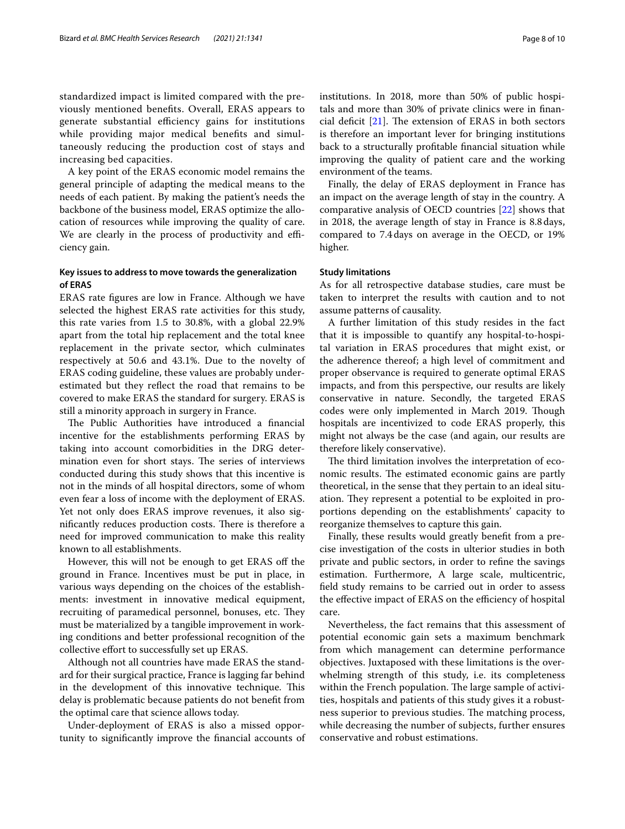standardized impact is limited compared with the previously mentioned benefts. Overall, ERAS appears to generate substantial efficiency gains for institutions while providing major medical benefts and simultaneously reducing the production cost of stays and increasing bed capacities.

A key point of the ERAS economic model remains the general principle of adapting the medical means to the needs of each patient. By making the patient's needs the backbone of the business model, ERAS optimize the allocation of resources while improving the quality of care. We are clearly in the process of productivity and efficiency gain.

# **Key issues to address to move towards the generalization of ERAS**

ERAS rate fgures are low in France. Although we have selected the highest ERAS rate activities for this study, this rate varies from 1.5 to 30.8%, with a global 22.9% apart from the total hip replacement and the total knee replacement in the private sector, which culminates respectively at 50.6 and 43.1%. Due to the novelty of ERAS coding guideline, these values are probably underestimated but they refect the road that remains to be covered to make ERAS the standard for surgery. ERAS is still a minority approach in surgery in France.

The Public Authorities have introduced a financial incentive for the establishments performing ERAS by taking into account comorbidities in the DRG determination even for short stays. The series of interviews conducted during this study shows that this incentive is not in the minds of all hospital directors, some of whom even fear a loss of income with the deployment of ERAS. Yet not only does ERAS improve revenues, it also significantly reduces production costs. There is therefore a need for improved communication to make this reality known to all establishments.

However, this will not be enough to get ERAS off the ground in France. Incentives must be put in place, in various ways depending on the choices of the establishments: investment in innovative medical equipment, recruiting of paramedical personnel, bonuses, etc. They must be materialized by a tangible improvement in working conditions and better professional recognition of the collective efort to successfully set up ERAS.

Although not all countries have made ERAS the standard for their surgical practice, France is lagging far behind in the development of this innovative technique. This delay is problematic because patients do not beneft from the optimal care that science allows today.

Under-deployment of ERAS is also a missed opportunity to signifcantly improve the fnancial accounts of institutions. In 2018, more than 50% of public hospitals and more than 30% of private clinics were in fnancial deficit  $[21]$ . The extension of ERAS in both sectors is therefore an important lever for bringing institutions back to a structurally proftable fnancial situation while improving the quality of patient care and the working environment of the teams.

Finally, the delay of ERAS deployment in France has an impact on the average length of stay in the country. A comparative analysis of OECD countries [22] shows that in 2018, the average length of stay in France is 8.8days, compared to 7.4days on average in the OECD, or 19% higher.

## **Study limitations**

As for all retrospective database studies, care must be taken to interpret the results with caution and to not assume patterns of causality.

A further limitation of this study resides in the fact that it is impossible to quantify any hospital-to-hospital variation in ERAS procedures that might exist, or the adherence thereof; a high level of commitment and proper observance is required to generate optimal ERAS impacts, and from this perspective, our results are likely conservative in nature. Secondly, the targeted ERAS codes were only implemented in March 2019. Though hospitals are incentivized to code ERAS properly, this might not always be the case (and again, our results are therefore likely conservative).

The third limitation involves the interpretation of economic results. The estimated economic gains are partly theoretical, in the sense that they pertain to an ideal situation. They represent a potential to be exploited in proportions depending on the establishments' capacity to reorganize themselves to capture this gain.

Finally, these results would greatly beneft from a precise investigation of the costs in ulterior studies in both private and public sectors, in order to refne the savings estimation. Furthermore, A large scale, multicentric, feld study remains to be carried out in order to assess the effective impact of ERAS on the efficiency of hospital care.

Nevertheless, the fact remains that this assessment of potential economic gain sets a maximum benchmark from which management can determine performance objectives. Juxtaposed with these limitations is the overwhelming strength of this study, i.e. its completeness within the French population. The large sample of activities, hospitals and patients of this study gives it a robustness superior to previous studies. The matching process, while decreasing the number of subjects, further ensures conservative and robust estimations.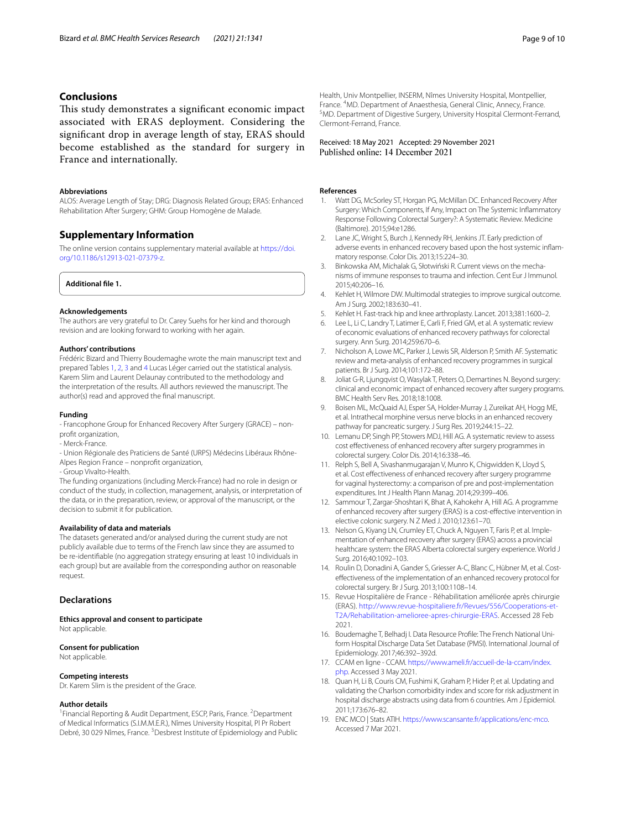# **Conclusions**

This study demonstrates a significant economic impact associated with ERAS deployment. Considering the signifcant drop in average length of stay, ERAS should become established as the standard for surgery in France and internationally.

# **Abbreviations**

ALOS: Average Length of Stay; DRG: Diagnosis Related Group; ERAS: Enhanced Rehabilitation After Surgery; GHM: Group Homogène de Malade.

# **Supplementary Information**

The online version contains supplementary material available at [https://doi.](https://doi.org/10.1186/s12913-021-07379-z) [org/10.1186/s12913-021-07379-z.](https://doi.org/10.1186/s12913-021-07379-z)

## **Additional fle 1.**

#### **Acknowledgements**

The authors are very grateful to Dr. Carey Suehs for her kind and thorough revision and are looking forward to working with her again.

#### **Authors' contributions**

Frédéric Bizard and Thierry Boudemaghe wrote the main manuscript text and prepared Tables 1, 2, 3 and 4 Lucas Léger carried out the statistical analysis. Karem Slim and Laurent Delaunay contributed to the methodology and the interpretation of the results. All authors reviewed the manuscript. The author(s) read and approved the fnal manuscript.

#### **Funding**

- Francophone Group for Enhanced Recovery After Surgery (GRACE) – nonprofit organization.

- Merck-France.

- Union Régionale des Praticiens de Santé (URPS) Médecins Libéraux Rhône-Alpes Region France – nonproft organization,

- Group Vivalto-Health.

The funding organizations (including Merck-France) had no role in design or

conduct of the study, in collection, management, analysis, or interpretation of the data, or in the preparation, review, or approval of the manuscript, or the decision to submit it for publication.

#### **Availability of data and materials**

The datasets generated and/or analysed during the current study are not publicly available due to terms of the French law since they are assumed to be re-identifable (no aggregation strategy ensuring at least 10 individuals in each group) but are available from the corresponding author on reasonable request.

## **Declarations**

#### **Ethics approval and consent to participate** Not applicable.

# **Consent for publication**

Not applicable.

#### **Competing interests**

Dr. Karem Slim is the president of the Grace.

#### **Author details**

<sup>1</sup> Financial Reporting & Audit Department, ESCP, Paris, France. <sup>2</sup> Department of Medical Informatics (S.I.M.M.E.R.), Nîmes University Hospital, Pl Pr Robert Debré, 30 029 Nîmes, France. <sup>3</sup> Desbrest Institute of Epidemiology and Public Received: 18 May 2021 Accepted: 29 November 2021<br>Published online: 14 December 2021

#### **References**

- 1. Watt DG, McSorley ST, Horgan PG, McMillan DC. Enhanced Recovery After Surgery: Which Components, If Any, Impact on The Systemic Infammatory Response Following Colorectal Surgery?: A Systematic Review. Medicine (Baltimore). 2015;94:e1286.
- 2. Lane JC, Wright S, Burch J, Kennedy RH, Jenkins JT. Early prediction of adverse events in enhanced recovery based upon the host systemic infammatory response. Color Dis. 2013;15:224–30.
- 3. Binkowska AM, Michalak G, Słotwiński R. Current views on the mechanisms of immune responses to trauma and infection. Cent Eur J Immunol. 2015;40:206–16.
- 4. Kehlet H, Wilmore DW. Multimodal strategies to improve surgical outcome. Am J Surg. 2002;183:630–41.
- 5. Kehlet H. Fast-track hip and knee arthroplasty. Lancet. 2013;381:1600–2.
- 6. Lee L, Li C, Landry T, Latimer E, Carli F, Fried GM, et al. A systematic review of economic evaluations of enhanced recovery pathways for colorectal surgery. Ann Surg. 2014;259:670–6.
- 7. Nicholson A, Lowe MC, Parker J, Lewis SR, Alderson P, Smith AF. Systematic review and meta-analysis of enhanced recovery programmes in surgical patients. Br J Surg. 2014;101:172–88.
- 8. Joliat G-R, Ljungqvist O, Wasylak T, Peters O, Demartines N. Beyond surgery: clinical and economic impact of enhanced recovery after surgery programs. BMC Health Serv Res. 2018;18:1008.
- 9. Boisen ML, McQuaid AJ, Esper SA, Holder-Murray J, Zureikat AH, Hogg ME, et al. Intrathecal morphine versus nerve blocks in an enhanced recovery pathway for pancreatic surgery. J Surg Res. 2019;244:15–22.
- 10. Lemanu DP, Singh PP, Stowers MDJ, Hill AG. A systematic review to assess cost efectiveness of enhanced recovery after surgery programmes in colorectal surgery. Color Dis. 2014;16:338–46.
- 11. Relph S, Bell A, Sivashanmugarajan V, Munro K, Chigwidden K, Lloyd S, et al. Cost effectiveness of enhanced recovery after surgery programme for vaginal hysterectomy: a comparison of pre and post-implementation expenditures. Int J Health Plann Manag. 2014;29:399–406.
- 12. Sammour T, Zargar-Shoshtari K, Bhat A, Kahokehr A, Hill AG. A programme of enhanced recovery after surgery (ERAS) is a cost-efective intervention in elective colonic surgery. N Z Med J. 2010;123:61–70.
- 13. Nelson G, Kiyang LN, Crumley ET, Chuck A, Nguyen T, Faris P, et al. Implementation of enhanced recovery after surgery (ERAS) across a provincial healthcare system: the ERAS Alberta colorectal surgery experience. World J Surg. 2016;40:1092–103.
- 14. Roulin D, Donadini A, Gander S, Griesser A-C, Blanc C, Hübner M, et al. Costefectiveness of the implementation of an enhanced recovery protocol for colorectal surgery. Br J Surg. 2013;100:1108–14.
- 15. Revue Hospitalière de France Réhabilitation améliorée après chirurgie (ERAS). [http://www.revue-hospitaliere.fr/Revues/556/Cooperations-et-](http://www.revue-hospitaliere.fr/Revues/556/Cooperations-et-T2A/Rehabilitation-amelioree-apres-chirurgie-ERAS)[T2A/Rehabilitation-amelioree-apres-chirurgie-ERAS](http://www.revue-hospitaliere.fr/Revues/556/Cooperations-et-T2A/Rehabilitation-amelioree-apres-chirurgie-ERAS). Accessed 28 Feb 2021.
- 16. Boudemaghe T, Belhadj I. Data Resource Profle: The French National Uniform Hospital Discharge Data Set Database (PMSI). International Journal of Epidemiology. 2017;46:392–392d.
- 17. CCAM en ligne CCAM. [https://www.ameli.fr/accueil-de-la-ccam/index.](https://www.ameli.fr/accueil-de-la-ccam/index.php) [php.](https://www.ameli.fr/accueil-de-la-ccam/index.php) Accessed 3 May 2021.
- 18. Quan H, Li B, Couris CM, Fushimi K, Graham P, Hider P, et al. Updating and validating the Charlson comorbidity index and score for risk adjustment in hospital discharge abstracts using data from 6 countries. Am J Epidemiol. 2011;173:676–82.
- 19. ENC MCO | Stats ATIH.<https://www.scansante.fr/applications/enc-mco>. Accessed 7 Mar 2021.